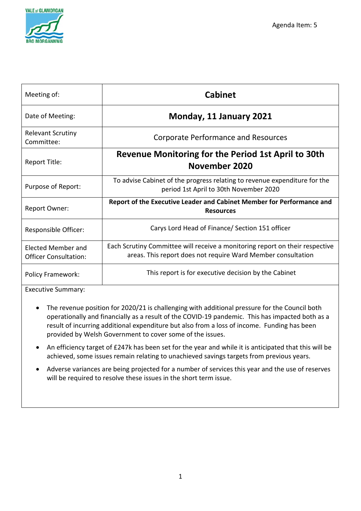

| Meeting of:                                               | <b>Cabinet</b>                                                                                                                               |
|-----------------------------------------------------------|----------------------------------------------------------------------------------------------------------------------------------------------|
| Date of Meeting:                                          | Monday, 11 January 2021                                                                                                                      |
| <b>Relevant Scrutiny</b><br>Committee:                    | <b>Corporate Performance and Resources</b>                                                                                                   |
| Report Title:                                             | Revenue Monitoring for the Period 1st April to 30th<br>November 2020                                                                         |
| Purpose of Report:                                        | To advise Cabinet of the progress relating to revenue expenditure for the<br>period 1st April to 30th November 2020                          |
| <b>Report Owner:</b>                                      | Report of the Executive Leader and Cabinet Member for Performance and<br><b>Resources</b>                                                    |
| Responsible Officer:                                      | Carys Lord Head of Finance/ Section 151 officer                                                                                              |
| <b>Elected Member and</b><br><b>Officer Consultation:</b> | Each Scrutiny Committee will receive a monitoring report on their respective<br>areas. This report does not require Ward Member consultation |
| <b>Policy Framework:</b>                                  | This report is for executive decision by the Cabinet                                                                                         |

Executive Summary:

- The revenue position for 2020/21 is challenging with additional pressure for the Council both operationally and financially as a result of the COVID-19 pandemic. This has impacted both as a result of incurring additional expenditure but also from a loss of income. Funding has been provided by Welsh Government to cover some of the issues.
- An efficiency target of £247k has been set for the year and while it is anticipated that this will be achieved, some issues remain relating to unachieved savings targets from previous years.
- Adverse variances are being projected for a number of services this year and the use of reserves will be required to resolve these issues in the short term issue.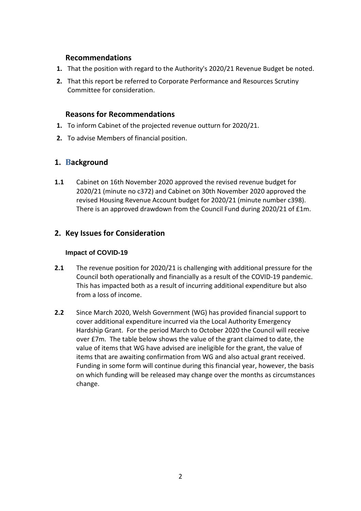## **Recommendations**

- **1.** That the position with regard to the Authority's 2020/21 Revenue Budget be noted.
- **2.** That this report be referred to Corporate Performance and Resources Scrutiny Committee for consideration.

## **Reasons for Recommendations**

- **1.** To inform Cabinet of the projected revenue outturn for 2020/21.
- **2.** To advise Members of financial position.

# **1. Background**

**1.1** Cabinet on 16th November 2020 approved the revised revenue budget for 2020/21 (minute no c372) and Cabinet on 30th November 2020 approved the revised Housing Revenue Account budget for 2020/21 (minute number c398). There is an approved drawdown from the Council Fund during 2020/21 of £1m.

# **2. Key Issues for Consideration**

## **Impact of COVID-19**

- **2.1** The revenue position for 2020/21 is challenging with additional pressure for the Council both operationally and financially as a result of the COVID-19 pandemic. This has impacted both as a result of incurring additional expenditure but also from a loss of income.
- **2.2** Since March 2020, Welsh Government (WG) has provided financial support to cover additional expenditure incurred via the Local Authority Emergency Hardship Grant. For the period March to October 2020 the Council will receive over £7m. The table below shows the value of the grant claimed to date, the value of items that WG have advised are ineligible for the grant, the value of items that are awaiting confirmation from WG and also actual grant received. Funding in some form will continue during this financial year, however, the basis on which funding will be released may change over the months as circumstances change.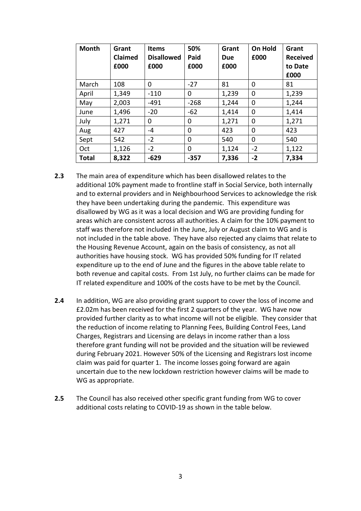| <b>Month</b> | Grant<br>Claimed<br>£000 | <b>Items</b><br><b>Disallowed</b><br>£000 | 50%<br>Paid<br>£000 | Grant<br><b>Due</b><br>£000 | On Hold<br>£000 | Grant<br><b>Received</b><br>to Date<br>£000 |
|--------------|--------------------------|-------------------------------------------|---------------------|-----------------------------|-----------------|---------------------------------------------|
| March        | 108                      | 0                                         | $-27$               | 81                          | 0               | 81                                          |
| April        | 1,349                    | $-110$                                    | 0                   | 1,239                       | 0               | 1,239                                       |
| May          | 2,003                    | $-491$                                    | $-268$              | 1,244                       | 0               | 1,244                                       |
| June         | 1,496                    | $-20$                                     | $-62$               | 1,414                       | 0               | 1,414                                       |
| July         | 1,271                    | 0                                         | 0                   | 1,271                       | 0               | 1,271                                       |
| Aug          | 427                      | $-4$                                      | 0                   | 423                         | 0               | 423                                         |
| Sept         | 542                      | $-2$                                      | 0                   | 540                         | 0               | 540                                         |
| Oct          | 1,126                    | $-2$                                      | 0                   | 1,124                       | $-2$            | 1,122                                       |
| <b>Total</b> | 8,322                    | $-629$                                    | $-357$              | 7,336                       | $-2$            | 7,334                                       |

- **2.3** The main area of expenditure which has been disallowed relates to the additional 10% payment made to frontline staff in Social Service, both internally and to external providers and in Neighbourhood Services to acknowledge the risk they have been undertaking during the pandemic. This expenditure was disallowed by WG as it was a local decision and WG are providing funding for areas which are consistent across all authorities. A claim for the 10% payment to staff was therefore not included in the June, July or August claim to WG and is not included in the table above. They have also rejected any claims that relate to the Housing Revenue Account, again on the basis of consistency, as not all authorities have housing stock. WG has provided 50% funding for IT related expenditure up to the end of June and the figures in the above table relate to both revenue and capital costs. From 1st July, no further claims can be made for IT related expenditure and 100% of the costs have to be met by the Council.
- **2.4** In addition, WG are also providing grant support to cover the loss of income and £2.02m has been received for the first 2 quarters of the year. WG have now provided further clarity as to what income will not be eligible. They consider that the reduction of income relating to Planning Fees, Building Control Fees, Land Charges, Registrars and Licensing are delays in income rather than a loss therefore grant funding will not be provided and the situation will be reviewed during February 2021. However 50% of the Licensing and Registrars lost income claim was paid for quarter 1. The income losses going forward are again uncertain due to the new lockdown restriction however claims will be made to WG as appropriate.
- **2.5** The Council has also received other specific grant funding from WG to cover additional costs relating to COVID-19 as shown in the table below.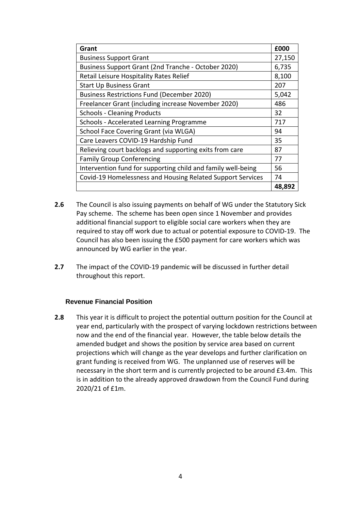| Grant                                                        | £000   |  |  |  |
|--------------------------------------------------------------|--------|--|--|--|
| <b>Business Support Grant</b>                                | 27,150 |  |  |  |
| Business Support Grant (2nd Tranche - October 2020)          | 6,735  |  |  |  |
| Retail Leisure Hospitality Rates Relief                      |        |  |  |  |
| <b>Start Up Business Grant</b>                               | 207    |  |  |  |
| <b>Business Restrictions Fund (December 2020)</b>            | 5,042  |  |  |  |
| Freelancer Grant (including increase November 2020)          | 486    |  |  |  |
| <b>Schools - Cleaning Products</b>                           | 32     |  |  |  |
| Schools - Accelerated Learning Programme                     | 717    |  |  |  |
| School Face Covering Grant (via WLGA)                        | 94     |  |  |  |
| Care Leavers COVID-19 Hardship Fund                          | 35     |  |  |  |
| Relieving court backlogs and supporting exits from care      | 87     |  |  |  |
| <b>Family Group Conferencing</b>                             | 77     |  |  |  |
| Intervention fund for supporting child and family well-being | 56     |  |  |  |
| Covid-19 Homelessness and Housing Related Support Services   | 74     |  |  |  |
|                                                              | 48,892 |  |  |  |

- **2.6** The Council is also issuing payments on behalf of WG under the Statutory Sick Pay scheme. The scheme has been open since 1 November and provides additional financial support to eligible social care workers when they are required to stay off work due to actual or potential exposure to COVID-19. The Council has also been issuing the £500 payment for care workers which was announced by WG earlier in the year.
- **2.7** The impact of the COVID-19 pandemic will be discussed in further detail throughout this report.

## **Revenue Financial Position**

**2.8** This year it is difficult to project the potential outturn position for the Council at year end, particularly with the prospect of varying lockdown restrictions between now and the end of the financial year. However, the table below details the amended budget and shows the position by service area based on current projections which will change as the year develops and further clarification on grant funding is received from WG. The unplanned use of reserves will be necessary in the short term and is currently projected to be around £3.4m. This is in addition to the already approved drawdown from the Council Fund during 2020/21 of £1m.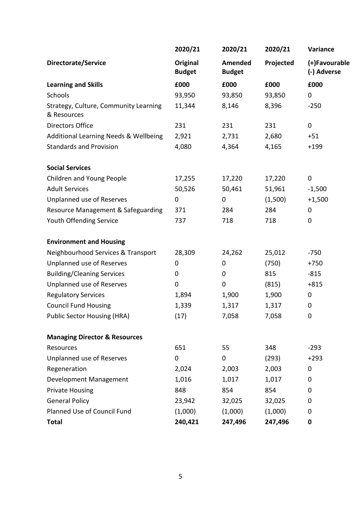|                                                      | 2020/21                   | 2020/21                  | 2020/21   | Variance                     |
|------------------------------------------------------|---------------------------|--------------------------|-----------|------------------------------|
| <b>Directorate/Service</b>                           | Original<br><b>Budget</b> | Amended<br><b>Budget</b> | Projected | (+)Favourable<br>(-) Adverse |
| <b>Learning and Skills</b>                           | £000                      | £000                     | £000      | £000                         |
| Schools                                              | 93,950                    | 93,850                   | 93,850    | $\pmb{0}$                    |
| Strategy, Culture, Community Learning<br>& Resources | 11,344                    | 8,146                    | 8,396     | $-250$                       |
| <b>Directors Office</b>                              | 231                       | 231                      | 231       | $\pmb{0}$                    |
| Additional Learning Needs & Wellbeing                | 2,921                     | 2,731                    | 2,680     | $+51$                        |
| <b>Standards and Provision</b>                       | 4,080                     | 4,364                    | 4,165     | $+199$                       |
| <b>Social Services</b>                               |                           |                          |           |                              |
| Children and Young People                            | 17,255                    | 17,220                   | 17,220    | $\pmb{0}$                    |
| <b>Adult Services</b>                                | 50,526                    | 50,461                   | 51,961    | $-1,500$                     |
| Unplanned use of Reserves                            | $\boldsymbol{0}$          | $\pmb{0}$                | (1,500)   | $+1,500$                     |
| Resource Management & Safeguarding                   | 371                       | 284                      | 284       | 0                            |
| Youth Offending Service                              | 737                       | 718                      | 718       | $\pmb{0}$                    |
| <b>Environment and Housing</b>                       |                           |                          |           |                              |
| Neighbourhood Services & Transport                   | 28,309                    | 24,262                   | 25,012    | $-750$                       |
| Unplanned use of Reserves                            | 0                         | 0                        | (750)     | $+750$                       |
| <b>Building/Cleaning Services</b>                    | 0                         | $\mathbf 0$              | 815       | $-815$                       |
| Unplanned use of Reserves                            | 0                         | $\pmb{0}$                | (815)     | $+815$                       |
| <b>Regulatory Services</b>                           | 1,894                     | 1,900                    | 1,900     | $\pmb{0}$                    |
| <b>Council Fund Housing</b>                          | 1,339                     | 1,317                    | 1,317     | 0                            |
| <b>Public Sector Housing (HRA)</b>                   | (17)                      | 7,058                    | 7,058     | 0                            |
| <b>Managing Director &amp; Resources</b>             |                           |                          |           |                              |
| Resources                                            | 651                       | 55                       | 348       | $-293$                       |
| Unplanned use of Reserves                            | 0                         | $\mathbf 0$              | (293)     | $+293$                       |
| Regeneration                                         | 2,024                     | 2,003                    | 2,003     | $\mathbf 0$                  |
| Development Management                               | 1,016                     | 1,017                    | 1,017     | 0                            |
| <b>Private Housing</b>                               | 848                       | 854                      | 854       | 0                            |
| <b>General Policy</b>                                | 23,942                    | 32,025                   | 32,025    | 0                            |
| Planned Use of Council Fund                          | (1,000)                   | (1,000)                  | (1,000)   | 0                            |
| <b>Total</b>                                         | 240,421                   | 247,496                  | 247,496   | 0                            |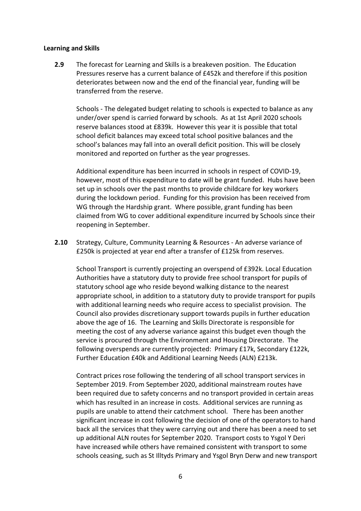## **Learning and Skills**

**2.9** The forecast for Learning and Skills is a breakeven position. The Education Pressures reserve has a current balance of £452k and therefore if this position deteriorates between now and the end of the financial year, funding will be transferred from the reserve.

Schools - The delegated budget relating to schools is expected to balance as any under/over spend is carried forward by schools. As at 1st April 2020 schools reserve balances stood at £839k. However this year it is possible that total school deficit balances may exceed total school positive balances and the school's balances may fall into an overall deficit position. This will be closely monitored and reported on further as the year progresses.

Additional expenditure has been incurred in schools in respect of COVID-19, however, most of this expenditure to date will be grant funded. Hubs have been set up in schools over the past months to provide childcare for key workers during the lockdown period. Funding for this provision has been received from WG through the Hardship grant. Where possible, grant funding has been claimed from WG to cover additional expenditure incurred by Schools since their reopening in September.

**2.10** Strategy, Culture, Community Learning & Resources - An adverse variance of £250k is projected at year end after a transfer of £125k from reserves.

School Transport is currently projecting an overspend of £392k. Local Education Authorities have a statutory duty to provide free school transport for pupils of statutory school age who reside beyond walking distance to the nearest appropriate school, in addition to a statutory duty to provide transport for pupils with additional learning needs who require access to specialist provision. The Council also provides discretionary support towards pupils in further education above the age of 16. The Learning and Skills Directorate is responsible for meeting the cost of any adverse variance against this budget even though the service is procured through the Environment and Housing Directorate. The following overspends are currently projected: Primary £17k, Secondary £122k, Further Education £40k and Additional Learning Needs (ALN) £213k.

Contract prices rose following the tendering of all school transport services in September 2019. From September 2020, additional mainstream routes have been required due to safety concerns and no transport provided in certain areas which has resulted in an increase in costs. Additional services are running as pupils are unable to attend their catchment school. There has been another significant increase in cost following the decision of one of the operators to hand back all the services that they were carrying out and there has been a need to set up additional ALN routes for September 2020. Transport costs to Ysgol Y Deri have increased while others have remained consistent with transport to some schools ceasing, such as St Illtyds Primary and Ysgol Bryn Derw and new transport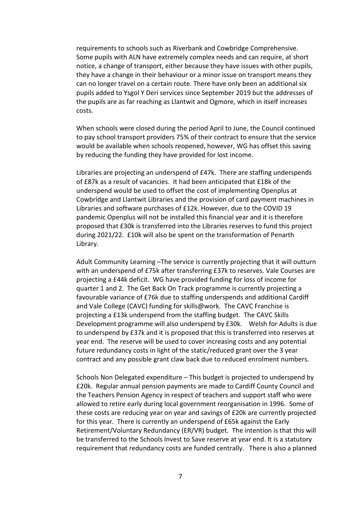requirements to schools such as Riverbank and Cowbridge Comprehensive. Some pupils with ALN have extremely complex needs and can require, at short notice, a change of transport, either because they have issues with other pupils, they have a change in their behaviour or a minor issue on transport means they can no longer travel on a certain route. There have only been an additional six pupils added to Ysgol Y Deri services since September 2019 but the addresses of the pupils are as far reaching as Llantwit and Ogmore, which in itself increases costs.

When schools were closed during the period April to June, the Council continued to pay school transport providers 75% of their contract to ensure that the service would be available when schools reopened, however, WG has offset this saving by reducing the funding they have provided for lost income.

Libraries are projecting an underspend of £47k. There are staffing underspends of £87k as a result of vacancies. It had been anticipated that £18k of the underspend would be used to offset the cost of implementing Openplus at Cowbridge and Llantwit Libraries and the provision of card payment machines in Libraries and software purchases of £12k. However, due to the COVID 19 pandemic Openplus will not be installed this financial year and it is therefore proposed that £30k is transferred into the Libraries reserves to fund this project during 2021/22. £10k will also be spent on the transformation of Penarth Library.

Adult Community Learning –The service is currently projecting that it will outturn with an underspend of £75k after transferring £37k to reserves. Vale Courses are projecting a £44k deficit. WG have provided funding for loss of income for quarter 1 and 2. The Get Back On Track programme is currently projecting a favourable variance of £76k due to staffing underspends and additional Cardiff and Vale College (CAVC) funding for skills@work. The CAVC Franchise is projecting a £13k underspend from the staffing budget. The CAVC Skills Development programme will also underspend by £30k. Welsh for Adults is due to underspend by £37k and it is proposed that this is transferred into reserves at year end. The reserve will be used to cover increasing costs and any potential future redundancy costs in light of the static/reduced grant over the 3 year contract and any possible grant claw back due to reduced enrolment numbers.

Schools Non Delegated expenditure – This budget is projected to underspend by £20k. Regular annual pension payments are made to Cardiff County Council and the Teachers Pension Agency in respect of teachers and support staff who were allowed to retire early during local government reorganisation in 1996. Some of these costs are reducing year on year and savings of £20k are currently projected for this year. There is currently an underspend of £65k against the Early Retirement/Voluntary Redundancy (ER/VR) budget. The intention is that this will be transferred to the Schools Invest to Save reserve at year end. It is a statutory requirement that redundancy costs are funded centrally. There is also a planned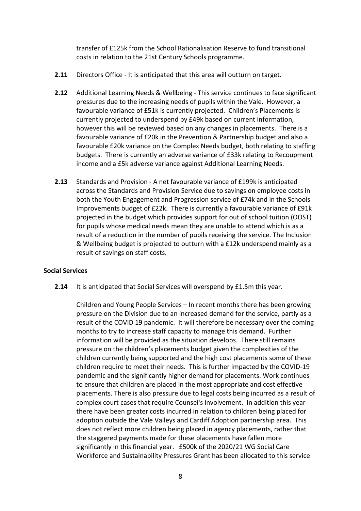transfer of £125k from the School Rationalisation Reserve to fund transitional costs in relation to the 21st Century Schools programme.

- **2.11** Directors Office It is anticipated that this area will outturn on target.
- **2.12** Additional Learning Needs & Wellbeing This service continues to face significant pressures due to the increasing needs of pupils within the Vale. However, a favourable variance of £51k is currently projected. Children's Placements is currently projected to underspend by £49k based on current information, however this will be reviewed based on any changes in placements. There is a favourable variance of £20k in the Prevention & Partnership budget and also a favourable £20k variance on the Complex Needs budget, both relating to staffing budgets. There is currently an adverse variance of £33k relating to Recoupment income and a £5k adverse variance against Additional Learning Needs.
- **2.13** Standards and Provision A net favourable variance of £199k is anticipated across the Standards and Provision Service due to savings on employee costs in both the Youth Engagement and Progression service of £74k and in the Schools Improvements budget of £22k. There is currently a favourable variance of £91k projected in the budget which provides support for out of school tuition (OOST) for pupils whose medical needs mean they are unable to attend which is as a result of a reduction in the number of pupils receiving the service. The Inclusion & Wellbeing budget is projected to outturn with a £12k underspend mainly as a result of savings on staff costs.

## **Social Services**

**2.14** It is anticipated that Social Services will overspend by £1.5m this year.

Children and Young People Services – In recent months there has been growing pressure on the Division due to an increased demand for the service, partly as a result of the COVID 19 pandemic. It will therefore be necessary over the coming months to try to increase staff capacity to manage this demand. Further information will be provided as the situation develops. There still remains pressure on the children's placements budget given the complexities of the children currently being supported and the high cost placements some of these children require to meet their needs. This is further impacted by the COVID-19 pandemic and the significantly higher demand for placements. Work continues to ensure that children are placed in the most appropriate and cost effective placements. There is also pressure due to legal costs being incurred as a result of complex court cases that require Counsel's involvement. In addition this year there have been greater costs incurred in relation to children being placed for adoption outside the Vale Valleys and Cardiff Adoption partnership area. This does not reflect more children being placed in agency placements, rather that the staggered payments made for these placements have fallen more significantly in this financial year. £500k of the 2020/21 WG Social Care Workforce and Sustainability Pressures Grant has been allocated to this service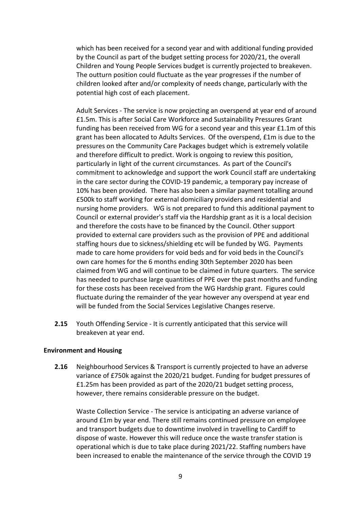which has been received for a second year and with additional funding provided by the Council as part of the budget setting process for 2020/21, the overall Children and Young People Services budget is currently projected to breakeven. The outturn position could fluctuate as the year progresses if the number of children looked after and/or complexity of needs change, particularly with the potential high cost of each placement.

Adult Services - The service is now projecting an overspend at year end of around £1.5m. This is after Social Care Workforce and Sustainability Pressures Grant funding has been received from WG for a second year and this year £1.1m of this grant has been allocated to Adults Services. Of the overspend, £1m is due to the pressures on the Community Care Packages budget which is extremely volatile and therefore difficult to predict. Work is ongoing to review this position, particularly in light of the current circumstances. As part of the Council's commitment to acknowledge and support the work Council staff are undertaking in the care sector during the COVID-19 pandemic, a temporary pay increase of 10% has been provided. There has also been a similar payment totalling around £500k to staff working for external domiciliary providers and residential and nursing home providers. WG is not prepared to fund this additional payment to Council or external provider's staff via the Hardship grant as it is a local decision and therefore the costs have to be financed by the Council. Other support provided to external care providers such as the provision of PPE and additional staffing hours due to sickness/shielding etc will be funded by WG. Payments made to care home providers for void beds and for void beds in the Council's own care homes for the 6 months ending 30th September 2020 has been claimed from WG and will continue to be claimed in future quarters. The service has needed to purchase large quantities of PPE over the past months and funding for these costs has been received from the WG Hardship grant. Figures could fluctuate during the remainder of the year however any overspend at year end will be funded from the Social Services Legislative Changes reserve.

**2.15** Youth Offending Service - It is currently anticipated that this service will breakeven at year end.

## **Environment and Housing**

**2.16** Neighbourhood Services & Transport is currently projected to have an adverse variance of £750k against the 2020/21 budget. Funding for budget pressures of £1.25m has been provided as part of the 2020/21 budget setting process, however, there remains considerable pressure on the budget.

Waste Collection Service - The service is anticipating an adverse variance of around £1m by year end. There still remains continued pressure on employee and transport budgets due to downtime involved in travelling to Cardiff to dispose of waste. However this will reduce once the waste transfer station is operational which is due to take place during 2021/22. Staffing numbers have been increased to enable the maintenance of the service through the COVID 19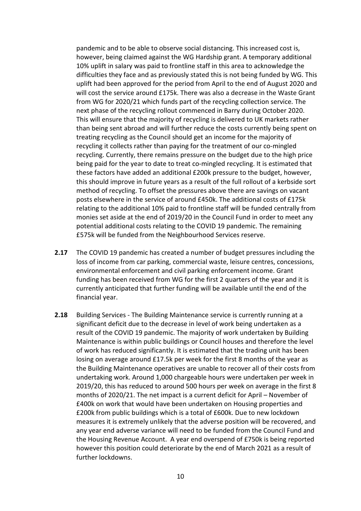pandemic and to be able to observe social distancing. This increased cost is, however, being claimed against the WG Hardship grant. A temporary additional 10% uplift in salary was paid to frontline staff in this area to acknowledge the difficulties they face and as previously stated this is not being funded by WG. This uplift had been approved for the period from April to the end of August 2020 and will cost the service around £175k. There was also a decrease in the Waste Grant from WG for 2020/21 which funds part of the recycling collection service. The next phase of the recycling rollout commenced in Barry during October 2020. This will ensure that the majority of recycling is delivered to UK markets rather than being sent abroad and will further reduce the costs currently being spent on treating recycling as the Council should get an income for the majority of recycling it collects rather than paying for the treatment of our co-mingled recycling. Currently, there remains pressure on the budget due to the high price being paid for the year to date to treat co-mingled recycling. It is estimated that these factors have added an additional £200k pressure to the budget, however, this should improve in future years as a result of the full rollout of a kerbside sort method of recycling. To offset the pressures above there are savings on vacant posts elsewhere in the service of around £450k. The additional costs of £175k relating to the additional 10% paid to frontline staff will be funded centrally from monies set aside at the end of 2019/20 in the Council Fund in order to meet any potential additional costs relating to the COVID 19 pandemic. The remaining £575k will be funded from the Neighbourhood Services reserve.

- **2.17** The COVID 19 pandemic has created a number of budget pressures including the loss of income from car parking, commercial waste, leisure centres, concessions, environmental enforcement and civil parking enforcement income. Grant funding has been received from WG for the first 2 quarters of the year and it is currently anticipated that further funding will be available until the end of the financial year.
- **2.18** Building Services The Building Maintenance service is currently running at a significant deficit due to the decrease in level of work being undertaken as a result of the COVID 19 pandemic. The majority of work undertaken by Building Maintenance is within public buildings or Council houses and therefore the level of work has reduced significantly. It is estimated that the trading unit has been losing on average around £17.5k per week for the first 8 months of the year as the Building Maintenance operatives are unable to recover all of their costs from undertaking work. Around 1,000 chargeable hours were undertaken per week in 2019/20, this has reduced to around 500 hours per week on average in the first 8 months of 2020/21. The net impact is a current deficit for April – November of £400k on work that would have been undertaken on Housing properties and £200k from public buildings which is a total of £600k. Due to new lockdown measures it is extremely unlikely that the adverse position will be recovered, and any year end adverse variance will need to be funded from the Council Fund and the Housing Revenue Account. A year end overspend of £750k is being reported however this position could deteriorate by the end of March 2021 as a result of further lockdowns.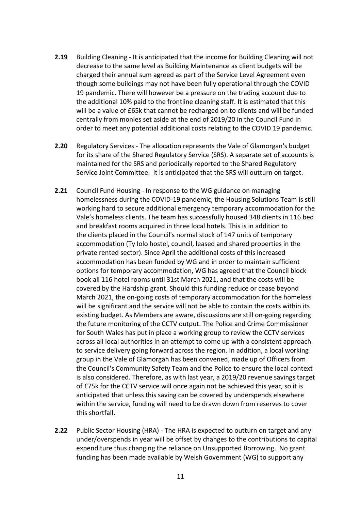- **2.19** Building Cleaning It is anticipated that the income for Building Cleaning will not decrease to the same level as Building Maintenance as client budgets will be charged their annual sum agreed as part of the Service Level Agreement even though some buildings may not have been fully operational through the COVID 19 pandemic. There will however be a pressure on the trading account due to the additional 10% paid to the frontline cleaning staff. It is estimated that this will be a value of £65k that cannot be recharged on to clients and will be funded centrally from monies set aside at the end of 2019/20 in the Council Fund in order to meet any potential additional costs relating to the COVID 19 pandemic.
- **2.20** Regulatory Services The allocation represents the Vale of Glamorgan's budget for its share of the Shared Regulatory Service (SRS). A separate set of accounts is maintained for the SRS and periodically reported to the Shared Regulatory Service Joint Committee. It is anticipated that the SRS will outturn on target.
- **2.21** Council Fund Housing In response to the WG guidance on managing homelessness during the COVID-19 pandemic, the Housing Solutions Team is still working hard to secure additional emergency temporary accommodation for the Vale's homeless clients. The team has successfully housed 348 clients in 116 bed and breakfast rooms acquired in three local hotels. This is in addition to the clients placed in the Council's normal stock of 147 units of temporary accommodation (Ty Iolo hostel, council, leased and shared properties in the private rented sector). Since April the additional costs of this increased accommodation has been funded by WG and in order to maintain sufficient options for temporary accommodation, WG has agreed that the Council block book all 116 hotel rooms until 31st March 2021, and that the costs will be covered by the Hardship grant. Should this funding reduce or cease beyond March 2021, the on-going costs of temporary accommodation for the homeless will be significant and the service will not be able to contain the costs within its existing budget. As Members are aware, discussions are still on-going regarding the future monitoring of the CCTV output. The Police and Crime Commissioner for South Wales has put in place a working group to review the CCTV services across all local authorities in an attempt to come up with a consistent approach to service delivery going forward across the region. In addition, a local working group in the Vale of Glamorgan has been convened, made up of Officers from the Council's Community Safety Team and the Police to ensure the local context is also considered. Therefore, as with last year, a 2019/20 revenue savings target of £75k for the CCTV service will once again not be achieved this year, so it is anticipated that unless this saving can be covered by underspends elsewhere within the service, funding will need to be drawn down from reserves to cover this shortfall.
- **2.22** Public Sector Housing (HRA) The HRA is expected to outturn on target and any under/overspends in year will be offset by changes to the contributions to capital expenditure thus changing the reliance on Unsupported Borrowing. No grant funding has been made available by Welsh Government (WG) to support any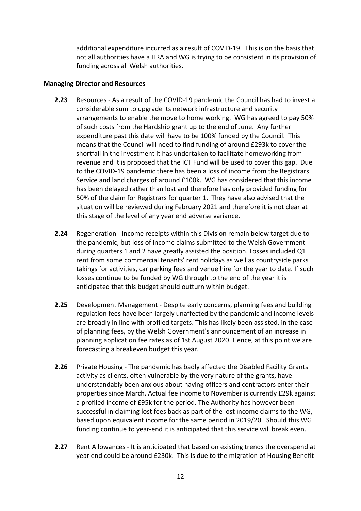additional expenditure incurred as a result of COVID-19. This is on the basis that not all authorities have a HRA and WG is trying to be consistent in its provision of funding across all Welsh authorities.

## **Managing Director and Resources**

- **2.23** Resources As a result of the COVID-19 pandemic the Council has had to invest a considerable sum to upgrade its network infrastructure and security arrangements to enable the move to home working. WG has agreed to pay 50% of such costs from the Hardship grant up to the end of June. Any further expenditure past this date will have to be 100% funded by the Council. This means that the Council will need to find funding of around £293k to cover the shortfall in the investment it has undertaken to facilitate homeworking from revenue and it is proposed that the ICT Fund will be used to cover this gap. Due to the COVID-19 pandemic there has been a loss of income from the Registrars Service and land charges of around £100k. WG has considered that this income has been delayed rather than lost and therefore has only provided funding for 50% of the claim for Registrars for quarter 1. They have also advised that the situation will be reviewed during February 2021 and therefore it is not clear at this stage of the level of any year end adverse variance.
- **2.24** Regeneration Income receipts within this Division remain below target due to the pandemic, but loss of income claims submitted to the Welsh Government during quarters 1 and 2 have greatly assisted the position. Losses included Q1 rent from some commercial tenants' rent holidays as well as countryside parks takings for activities, car parking fees and venue hire for the year to date. If such losses continue to be funded by WG through to the end of the year it is anticipated that this budget should outturn within budget.
- **2.25** Development Management Despite early concerns, planning fees and building regulation fees have been largely unaffected by the pandemic and income levels are broadly in line with profiled targets. This has likely been assisted, in the case of planning fees, by the Welsh Government's announcement of an increase in planning application fee rates as of 1st August 2020. Hence, at this point we are forecasting a breakeven budget this year.
- **2.26** Private Housing The pandemic has badly affected the Disabled Facility Grants activity as clients, often vulnerable by the very nature of the grants, have understandably been anxious about having officers and contractors enter their properties since March. Actual fee income to November is currently £29k against a profiled income of £95k for the period. The Authority has however been successful in claiming lost fees back as part of the lost income claims to the WG, based upon equivalent income for the same period in 2019/20. Should this WG funding continue to year-end it is anticipated that this service will break even.
- **2.27** Rent Allowances It is anticipated that based on existing trends the overspend at year end could be around £230k. This is due to the migration of Housing Benefit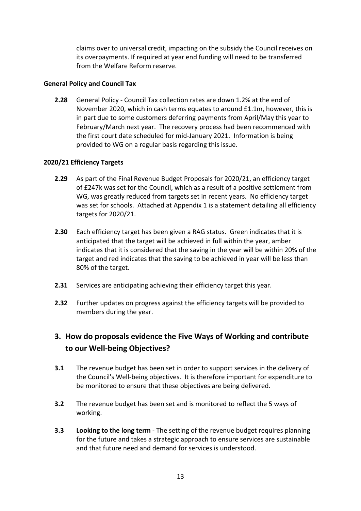claims over to universal credit, impacting on the subsidy the Council receives on its overpayments. If required at year end funding will need to be transferred from the Welfare Reform reserve.

## **General Policy and Council Tax**

**2.28** General Policy - Council Tax collection rates are down 1.2% at the end of November 2020, which in cash terms equates to around £1.1m, however, this is in part due to some customers deferring payments from April/May this year to February/March next year. The recovery process had been recommenced with the first court date scheduled for mid-January 2021. Information is being provided to WG on a regular basis regarding this issue.

## **2020/21 Efficiency Targets**

- **2.29** As part of the Final Revenue Budget Proposals for 2020/21, an efficiency target of £247k was set for the Council, which as a result of a positive settlement from WG, was greatly reduced from targets set in recent years. No efficiency target was set for schools. Attached at Appendix 1 is a statement detailing all efficiency targets for 2020/21.
- **2.30** Each efficiency target has been given a RAG status. Green indicates that it is anticipated that the target will be achieved in full within the year, amber indicates that it is considered that the saving in the year will be within 20% of the target and red indicates that the saving to be achieved in year will be less than 80% of the target.
- **2.31** Services are anticipating achieving their efficiency target this year.
- **2.32** Further updates on progress against the efficiency targets will be provided to members during the year.

# **3. How do proposals evidence the Five Ways of Working and contribute to our Well-being Objectives?**

- **3.1** The revenue budget has been set in order to support services in the delivery of the Council's Well-being objectives. It is therefore important for expenditure to be monitored to ensure that these objectives are being delivered.
- **3.2** The revenue budget has been set and is monitored to reflect the 5 ways of working.
- **3.3 Looking to the long term** The setting of the revenue budget requires planning for the future and takes a strategic approach to ensure services are sustainable and that future need and demand for services is understood.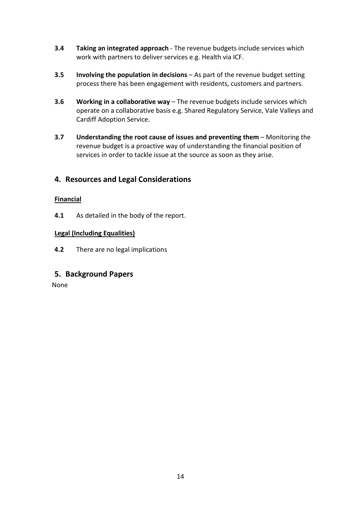- **3.4 Taking an integrated approach** The revenue budgets include services which work with partners to deliver services e.g. Health via ICF.
- **3.5 Involving the population in decisions** As part of the revenue budget setting process there has been engagement with residents, customers and partners.
- **3.6 Working in a collaborative way** The revenue budgets include services which operate on a collaborative basis e.g. Shared Regulatory Service, Vale Valleys and Cardiff Adoption Service.
- **3.7 Understanding the root cause of issues and preventing them** Monitoring the revenue budget is a proactive way of understanding the financial position of services in order to tackle issue at the source as soon as they arise.

# **4. Resources and Legal Considerations**

## **Financial**

**4.1** As detailed in the body of the report.

## **Legal (Including Equalities)**

**4.2** There are no legal implications

# **5. Background Papers**

None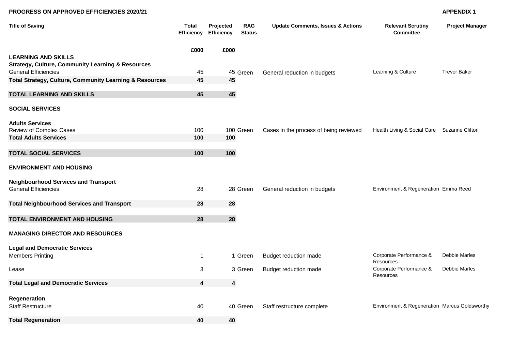### **PROGRESS ON APPROVED EFFICIENCIES 2020/21 APPENDIX 1**

| <b>Title of Saving</b>                                                                     | <b>Total</b><br><b>Efficiency</b> | Projected<br><b>Efficiency</b> | <b>RAG</b><br><b>Status</b> | <b>Update Comments, Issues &amp; Actions</b> | <b>Relevant Scrutiny</b><br><b>Committee</b>  | <b>Project Manager</b> |
|--------------------------------------------------------------------------------------------|-----------------------------------|--------------------------------|-----------------------------|----------------------------------------------|-----------------------------------------------|------------------------|
|                                                                                            | £000                              | £000                           |                             |                                              |                                               |                        |
| <b>LEARNING AND SKILLS</b><br><b>Strategy, Culture, Community Learning &amp; Resources</b> |                                   |                                |                             |                                              |                                               |                        |
| <b>General Efficiencies</b>                                                                | 45                                |                                | 45 Green                    | General reduction in budgets                 | Learning & Culture                            | <b>Trevor Baker</b>    |
| Total Strategy, Culture, Community Learning & Resources                                    | 45                                | 45                             |                             |                                              |                                               |                        |
| <b>TOTAL LEARNING AND SKILLS</b>                                                           | 45                                | 45                             |                             |                                              |                                               |                        |
| <b>SOCIAL SERVICES</b>                                                                     |                                   |                                |                             |                                              |                                               |                        |
| <b>Adults Services</b><br>Review of Complex Cases                                          | 100                               |                                | 100 Green                   | Cases in the process of being reviewed       | Health Living & Social Care Suzanne Clifton   |                        |
| <b>Total Adults Services</b>                                                               | 100                               | 100                            |                             |                                              |                                               |                        |
|                                                                                            |                                   |                                |                             |                                              |                                               |                        |
| <b>TOTAL SOCIAL SERVICES</b>                                                               | 100                               | 100                            |                             |                                              |                                               |                        |
| <b>ENVIRONMENT AND HOUSING</b>                                                             |                                   |                                |                             |                                              |                                               |                        |
| <b>Neighbourhood Services and Transport</b>                                                |                                   |                                |                             |                                              |                                               |                        |
| <b>General Efficiencies</b>                                                                | 28                                |                                | 28 Green                    | General reduction in budgets                 | Environment & Regeneration Emma Reed          |                        |
| <b>Total Neighbourhood Services and Transport</b>                                          | 28                                | 28                             |                             |                                              |                                               |                        |
| TOTAL ENVIRONMENT AND HOUSING                                                              | 28                                | 28                             |                             |                                              |                                               |                        |
| <b>MANAGING DIRECTOR AND RESOURCES</b>                                                     |                                   |                                |                             |                                              |                                               |                        |
| <b>Legal and Democratic Services</b>                                                       |                                   |                                |                             |                                              |                                               |                        |
| <b>Members Printing</b>                                                                    | $\mathbf 1$                       |                                | 1 Green                     | Budget reduction made                        | Corporate Performance &<br><b>Resources</b>   | Debbie Marles          |
| Lease                                                                                      | 3                                 |                                | 3 Green                     | <b>Budget reduction made</b>                 | Corporate Performance &<br><b>Resources</b>   | Debbie Marles          |
| <b>Total Legal and Democratic Services</b>                                                 | $\overline{\mathbf{4}}$           | $\boldsymbol{4}$               |                             |                                              |                                               |                        |
| Regeneration                                                                               |                                   |                                |                             |                                              |                                               |                        |
| <b>Staff Restructure</b>                                                                   | 40                                |                                | 40 Green                    | Staff restructure complete                   | Environment & Regeneration Marcus Goldsworthy |                        |
| <b>Total Regeneration</b>                                                                  | 40                                | 40                             |                             |                                              |                                               |                        |